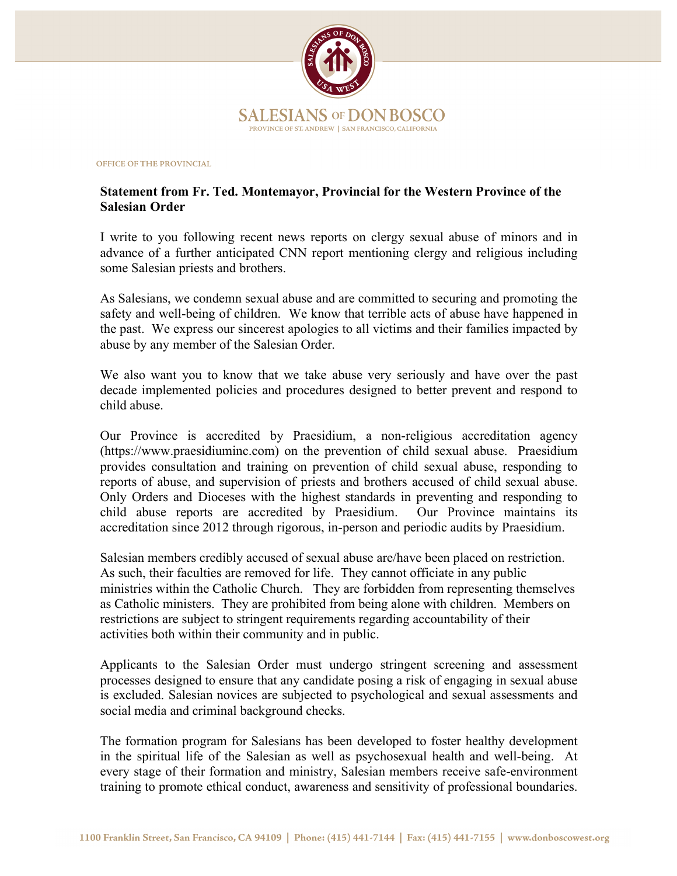

## OFFICE OF THE PROVINCIAL

## **Statement from Fr. Ted. Montemayor, Provincial for the Western Province of the Salesian Order**

I write to you following recent news reports on clergy sexual abuse of minors and in advance of a further anticipated CNN report mentioning clergy and religious including some Salesian priests and brothers.

As Salesians, we condemn sexual abuse and are committed to securing and promoting the safety and well-being of children. We know that terrible acts of abuse have happened in the past. We express our sincerest apologies to all victims and their families impacted by abuse by any member of the Salesian Order.

We also want you to know that we take abuse very seriously and have over the past decade implemented policies and procedures designed to better prevent and respond to child abuse.

Our Province is accredited by Praesidium, a non-religious accreditation agency (https://www.praesidiuminc.com) on the prevention of child sexual abuse. Praesidium provides consultation and training on prevention of child sexual abuse, responding to reports of abuse, and supervision of priests and brothers accused of child sexual abuse. Only Orders and Dioceses with the highest standards in preventing and responding to child abuse reports are accredited by Praesidium. Our Province maintains its accreditation since 2012 through rigorous, in-person and periodic audits by Praesidium.

Salesian members credibly accused of sexual abuse are/have been placed on restriction. As such, their faculties are removed for life. They cannot officiate in any public ministries within the Catholic Church. They are forbidden from representing themselves as Catholic ministers. They are prohibited from being alone with children. Members on restrictions are subject to stringent requirements regarding accountability of their activities both within their community and in public.

Applicants to the Salesian Order must undergo stringent screening and assessment processes designed to ensure that any candidate posing a risk of engaging in sexual abuse is excluded. Salesian novices are subjected to psychological and sexual assessments and social media and criminal background checks.

The formation program for Salesians has been developed to foster healthy development in the spiritual life of the Salesian as well as psychosexual health and well-being. At every stage of their formation and ministry, Salesian members receive safe-environment training to promote ethical conduct, awareness and sensitivity of professional boundaries.